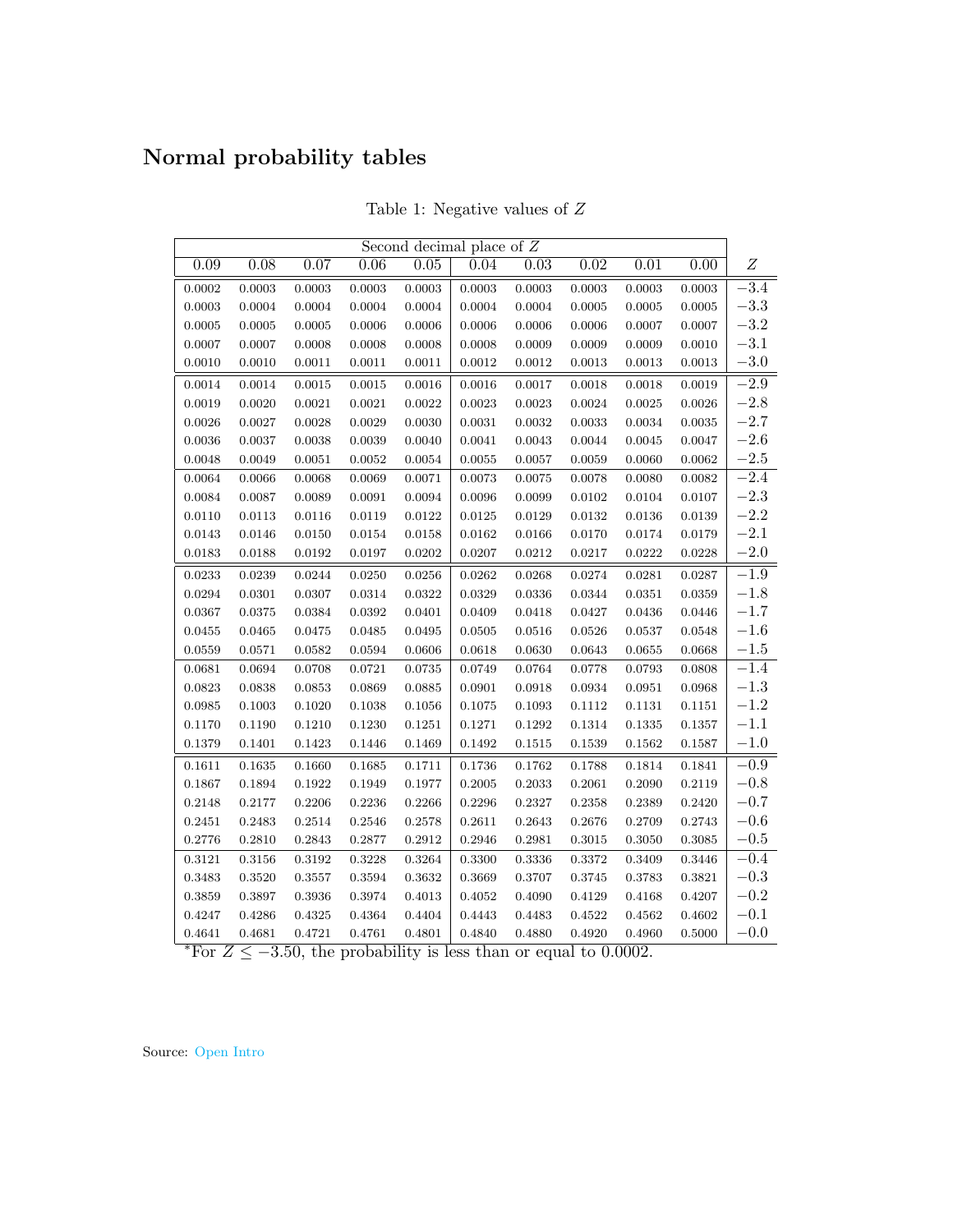## Normal probability tables

| Ζ<br>0.09<br>0.07<br>0.08<br>0.06<br>0.05<br>0.04<br>0.03<br>0.02<br>0.01<br>0.00<br>$-3.4$<br>$\,0.0003\,$<br>0.0003<br>0.0003<br>0.0003<br>0.0003<br>0.0003<br>0.0002<br>0.0003<br>0.0003<br>0.0003<br>$-3.3$<br>0.0004<br>0.0004<br>0.0003<br>0.0004<br>0.0004<br>0.0004<br>0.0004<br>0.0005<br>0.0005<br>0.0005<br>$-3.2$<br>0.0005<br>0.0005<br>0.0005<br>0.0006<br>0.0006<br>0.0006<br>0.0006<br>0.0006<br>0.0007<br>0.0007<br>$-3.1$<br>0.0007<br>0.0008<br>0.0008<br>0.0009<br>0.0009<br>0.0009<br>0.0010<br>0.0007<br>0.0008<br>0.0008<br>$-3.0$<br>0.0010<br>0.0010<br>0.0011<br>0.0011<br>0.0011<br>0.0012<br>0.0012<br>0.0013<br>0.0013<br>0.0013<br>$-2.9$<br>0.0014<br>0.0014<br>0.0015<br>0.0015<br>0.0016<br>0.0016<br>0.0017<br>0.0018<br>0.0018<br>0.0019<br>$-2.8$<br>0.0019<br>0.0020<br>0.0021<br>0.0021<br>0.0022<br>0.0023<br>0.0023<br>0.0024<br>0.0025<br>0.0026<br>$-2.7$<br>0.0026<br>0.0027<br>0.0028<br>0.0029<br>0.0030<br>0.0031<br>0.0032<br>0.0033<br>0.0034<br>0.0035<br>$-2.6$<br>0.0036<br>0.0037<br>0.0038<br>0.0039<br>0.0040<br>0.0041<br>0.0043<br>0.0044<br>0.0045<br>0.0047<br>$-2.5$<br>0.0049<br>0.0051<br>0.0054<br>0.0060<br>0.0062<br>0.0048<br>0.0052<br>0.0055<br>0.0057<br>0.0059<br>$-2.4$<br>0.0066<br>0.0068<br>0.0069<br>0.0071<br>0.0073<br>0.0075<br>0.0078<br>0.0080<br>0.0082<br>0.0064<br>$-2.3$<br>0.0094<br>0.0107<br>0.0084<br>0.0087<br>0.0089<br>0.0091<br>0.0096<br>0.0099<br>0.0102<br>0.0104<br>$-2.2$<br>0.0110<br>0.0113<br>0.0116<br>0.0119<br>0.0122<br>0.0125<br>0.0129<br>0.0132<br>0.0136<br>0.0139<br>$-2.1$<br>0.0158<br>0.0166<br>0.0174<br>0.0179<br>0.0143<br>0.0146<br>0.0150<br>0.0154<br>0.0162<br>0.0170<br>$-2.0$<br>0.0183<br>0.0188<br>0.0192<br>0.0197<br>0.0202<br>0.0207<br>0.0212<br>0.0217<br>0.0222<br>0.0228<br>$-1.9$<br>0.0233<br>0.0239<br>0.0244<br>0.0250<br>0.0256<br>0.0262<br>0.0268<br>0.0274<br>0.0281<br>0.0287<br>$-1.8$<br>0.0301<br>0.0307<br>0.0314<br>0.0322<br>0.0329<br>0.0336<br>0.0351<br>0.0359<br>0.0294<br>0.0344<br>$-1.7$<br>0.0367<br>0.0375<br>0.0384<br>0.0392<br>0.0401<br>0.0409<br>0.0418<br>0.0427<br>0.0436<br>0.0446<br>$-1.6$<br>0.0475<br>0.0495<br>0.0505<br>0.0516<br>0.0548<br>0.0455<br>0.0465<br>0.0485<br>0.0526<br>0.0537<br>$-1.5$<br>0.0571<br>0.0606<br>0.0630<br>0.0559<br>0.0582<br>0.0594<br>0.0618<br>0.0643<br>0.0655<br>0.0668<br>$-1.4$<br>0.0735<br>0.0764<br>0.0793<br>0.0681<br>0.0694<br>0.0708<br>0.0721<br>0.0749<br>0.0778<br>0.0808<br>$-1.3$<br>0.0823<br>0.0838<br>0.0853<br>0.0869<br>0.0885<br>0.0901<br>0.0918<br>0.0934<br>0.0951<br>0.0968<br>$-1.2$<br>0.0985<br>0.1003<br>0.1020<br>0.1038<br>0.1056<br>0.1075<br>0.1093<br>0.1112<br>0.1131<br>0.1151<br>$-1.1$<br>0.1170<br>0.1190<br>0.1210<br>0.1230<br>0.1251<br>0.1271<br>0.1292<br>0.1335<br>0.1314<br>0.1357<br>$-1.0$<br>0.1379<br>0.1423<br>0.1492<br>0.1401<br>0.1446<br>0.1469<br>0.1515<br>0.1539<br>0.1562<br>0.1587<br>$-0.9$<br>0.1611<br>0.1635<br>0.1660<br>0.1685<br>0.1711<br>0.1736<br>0.1762<br>0.1788<br>0.1814<br>0.1841<br>$-0.8$<br>0.1949<br>0.1977<br>0.2005<br>0.2033<br>0.2090<br>0.2119<br>0.1867<br>0.1894<br>0.1922<br>0.2061<br>$-0.7$<br>0.2266<br>0.2420<br>0.2148<br>0.2177<br>0.2206<br>0.2236<br>0.2296<br>0.2327<br>0.2358<br>0.2389<br>$-0.6$<br>0.2451<br>0.2483<br>0.2514<br>0.2546<br>0.2578<br>0.2611<br>0.2643<br>0.2676<br>0.2709<br>0.2743<br>$-0.5$<br>0.2776<br>0.2810<br>0.2843<br>0.2877<br>0.2912<br>0.2946<br>0.2981<br>0.3050<br>0.3085<br>0.3015<br>$-0.4$<br>0.3156<br>0.3192<br>0.3228<br>0.3264<br>0.3300<br>0.3336<br>0.3372<br>0.3446<br>0.3121<br>0.3409<br>$-0.3$<br>0.3483<br>0.3520<br>0.3557<br>0.3594<br>0.3632<br>0.3669<br>0.3707<br>0.3745<br>0.3783<br>0.3821<br>$-0.2$<br>0.3859<br>0.3897<br>0.3936<br>0.3974<br>0.4013<br>0.4052<br>0.4090<br>0.4129<br>0.4168<br>0.4207 | Second decimal place of $Z$ |        |        |        |            |        |        |        |        |        |        |
|-----------------------------------------------------------------------------------------------------------------------------------------------------------------------------------------------------------------------------------------------------------------------------------------------------------------------------------------------------------------------------------------------------------------------------------------------------------------------------------------------------------------------------------------------------------------------------------------------------------------------------------------------------------------------------------------------------------------------------------------------------------------------------------------------------------------------------------------------------------------------------------------------------------------------------------------------------------------------------------------------------------------------------------------------------------------------------------------------------------------------------------------------------------------------------------------------------------------------------------------------------------------------------------------------------------------------------------------------------------------------------------------------------------------------------------------------------------------------------------------------------------------------------------------------------------------------------------------------------------------------------------------------------------------------------------------------------------------------------------------------------------------------------------------------------------------------------------------------------------------------------------------------------------------------------------------------------------------------------------------------------------------------------------------------------------------------------------------------------------------------------------------------------------------------------------------------------------------------------------------------------------------------------------------------------------------------------------------------------------------------------------------------------------------------------------------------------------------------------------------------------------------------------------------------------------------------------------------------------------------------------------------------------------------------------------------------------------------------------------------------------------------------------------------------------------------------------------------------------------------------------------------------------------------------------------------------------------------------------------------------------------------------------------------------------------------------------------------------------------------------------------------------------------------------------------------------------------------------------------------------------------------------------------------------------------------------------------------------------------------------------------------------------------------------------------------------------------------------------------------------------------------------------------------------------------------------------------------------------------------------------------------------------------------------------------------------------------------------------------------------------------------------------------------------------------------------------------------------------------------------|-----------------------------|--------|--------|--------|------------|--------|--------|--------|--------|--------|--------|
|                                                                                                                                                                                                                                                                                                                                                                                                                                                                                                                                                                                                                                                                                                                                                                                                                                                                                                                                                                                                                                                                                                                                                                                                                                                                                                                                                                                                                                                                                                                                                                                                                                                                                                                                                                                                                                                                                                                                                                                                                                                                                                                                                                                                                                                                                                                                                                                                                                                                                                                                                                                                                                                                                                                                                                                                                                                                                                                                                                                                                                                                                                                                                                                                                                                                                                                                                                                                                                                                                                                                                                                                                                                                                                                                                                                                                                                                       |                             |        |        |        |            |        |        |        |        |        |        |
|                                                                                                                                                                                                                                                                                                                                                                                                                                                                                                                                                                                                                                                                                                                                                                                                                                                                                                                                                                                                                                                                                                                                                                                                                                                                                                                                                                                                                                                                                                                                                                                                                                                                                                                                                                                                                                                                                                                                                                                                                                                                                                                                                                                                                                                                                                                                                                                                                                                                                                                                                                                                                                                                                                                                                                                                                                                                                                                                                                                                                                                                                                                                                                                                                                                                                                                                                                                                                                                                                                                                                                                                                                                                                                                                                                                                                                                                       |                             |        |        |        |            |        |        |        |        |        |        |
|                                                                                                                                                                                                                                                                                                                                                                                                                                                                                                                                                                                                                                                                                                                                                                                                                                                                                                                                                                                                                                                                                                                                                                                                                                                                                                                                                                                                                                                                                                                                                                                                                                                                                                                                                                                                                                                                                                                                                                                                                                                                                                                                                                                                                                                                                                                                                                                                                                                                                                                                                                                                                                                                                                                                                                                                                                                                                                                                                                                                                                                                                                                                                                                                                                                                                                                                                                                                                                                                                                                                                                                                                                                                                                                                                                                                                                                                       |                             |        |        |        |            |        |        |        |        |        |        |
|                                                                                                                                                                                                                                                                                                                                                                                                                                                                                                                                                                                                                                                                                                                                                                                                                                                                                                                                                                                                                                                                                                                                                                                                                                                                                                                                                                                                                                                                                                                                                                                                                                                                                                                                                                                                                                                                                                                                                                                                                                                                                                                                                                                                                                                                                                                                                                                                                                                                                                                                                                                                                                                                                                                                                                                                                                                                                                                                                                                                                                                                                                                                                                                                                                                                                                                                                                                                                                                                                                                                                                                                                                                                                                                                                                                                                                                                       |                             |        |        |        |            |        |        |        |        |        |        |
|                                                                                                                                                                                                                                                                                                                                                                                                                                                                                                                                                                                                                                                                                                                                                                                                                                                                                                                                                                                                                                                                                                                                                                                                                                                                                                                                                                                                                                                                                                                                                                                                                                                                                                                                                                                                                                                                                                                                                                                                                                                                                                                                                                                                                                                                                                                                                                                                                                                                                                                                                                                                                                                                                                                                                                                                                                                                                                                                                                                                                                                                                                                                                                                                                                                                                                                                                                                                                                                                                                                                                                                                                                                                                                                                                                                                                                                                       |                             |        |        |        |            |        |        |        |        |        |        |
|                                                                                                                                                                                                                                                                                                                                                                                                                                                                                                                                                                                                                                                                                                                                                                                                                                                                                                                                                                                                                                                                                                                                                                                                                                                                                                                                                                                                                                                                                                                                                                                                                                                                                                                                                                                                                                                                                                                                                                                                                                                                                                                                                                                                                                                                                                                                                                                                                                                                                                                                                                                                                                                                                                                                                                                                                                                                                                                                                                                                                                                                                                                                                                                                                                                                                                                                                                                                                                                                                                                                                                                                                                                                                                                                                                                                                                                                       |                             |        |        |        |            |        |        |        |        |        |        |
|                                                                                                                                                                                                                                                                                                                                                                                                                                                                                                                                                                                                                                                                                                                                                                                                                                                                                                                                                                                                                                                                                                                                                                                                                                                                                                                                                                                                                                                                                                                                                                                                                                                                                                                                                                                                                                                                                                                                                                                                                                                                                                                                                                                                                                                                                                                                                                                                                                                                                                                                                                                                                                                                                                                                                                                                                                                                                                                                                                                                                                                                                                                                                                                                                                                                                                                                                                                                                                                                                                                                                                                                                                                                                                                                                                                                                                                                       |                             |        |        |        |            |        |        |        |        |        |        |
|                                                                                                                                                                                                                                                                                                                                                                                                                                                                                                                                                                                                                                                                                                                                                                                                                                                                                                                                                                                                                                                                                                                                                                                                                                                                                                                                                                                                                                                                                                                                                                                                                                                                                                                                                                                                                                                                                                                                                                                                                                                                                                                                                                                                                                                                                                                                                                                                                                                                                                                                                                                                                                                                                                                                                                                                                                                                                                                                                                                                                                                                                                                                                                                                                                                                                                                                                                                                                                                                                                                                                                                                                                                                                                                                                                                                                                                                       |                             |        |        |        |            |        |        |        |        |        |        |
|                                                                                                                                                                                                                                                                                                                                                                                                                                                                                                                                                                                                                                                                                                                                                                                                                                                                                                                                                                                                                                                                                                                                                                                                                                                                                                                                                                                                                                                                                                                                                                                                                                                                                                                                                                                                                                                                                                                                                                                                                                                                                                                                                                                                                                                                                                                                                                                                                                                                                                                                                                                                                                                                                                                                                                                                                                                                                                                                                                                                                                                                                                                                                                                                                                                                                                                                                                                                                                                                                                                                                                                                                                                                                                                                                                                                                                                                       |                             |        |        |        |            |        |        |        |        |        |        |
|                                                                                                                                                                                                                                                                                                                                                                                                                                                                                                                                                                                                                                                                                                                                                                                                                                                                                                                                                                                                                                                                                                                                                                                                                                                                                                                                                                                                                                                                                                                                                                                                                                                                                                                                                                                                                                                                                                                                                                                                                                                                                                                                                                                                                                                                                                                                                                                                                                                                                                                                                                                                                                                                                                                                                                                                                                                                                                                                                                                                                                                                                                                                                                                                                                                                                                                                                                                                                                                                                                                                                                                                                                                                                                                                                                                                                                                                       |                             |        |        |        |            |        |        |        |        |        |        |
|                                                                                                                                                                                                                                                                                                                                                                                                                                                                                                                                                                                                                                                                                                                                                                                                                                                                                                                                                                                                                                                                                                                                                                                                                                                                                                                                                                                                                                                                                                                                                                                                                                                                                                                                                                                                                                                                                                                                                                                                                                                                                                                                                                                                                                                                                                                                                                                                                                                                                                                                                                                                                                                                                                                                                                                                                                                                                                                                                                                                                                                                                                                                                                                                                                                                                                                                                                                                                                                                                                                                                                                                                                                                                                                                                                                                                                                                       |                             |        |        |        |            |        |        |        |        |        |        |
|                                                                                                                                                                                                                                                                                                                                                                                                                                                                                                                                                                                                                                                                                                                                                                                                                                                                                                                                                                                                                                                                                                                                                                                                                                                                                                                                                                                                                                                                                                                                                                                                                                                                                                                                                                                                                                                                                                                                                                                                                                                                                                                                                                                                                                                                                                                                                                                                                                                                                                                                                                                                                                                                                                                                                                                                                                                                                                                                                                                                                                                                                                                                                                                                                                                                                                                                                                                                                                                                                                                                                                                                                                                                                                                                                                                                                                                                       |                             |        |        |        |            |        |        |        |        |        |        |
|                                                                                                                                                                                                                                                                                                                                                                                                                                                                                                                                                                                                                                                                                                                                                                                                                                                                                                                                                                                                                                                                                                                                                                                                                                                                                                                                                                                                                                                                                                                                                                                                                                                                                                                                                                                                                                                                                                                                                                                                                                                                                                                                                                                                                                                                                                                                                                                                                                                                                                                                                                                                                                                                                                                                                                                                                                                                                                                                                                                                                                                                                                                                                                                                                                                                                                                                                                                                                                                                                                                                                                                                                                                                                                                                                                                                                                                                       |                             |        |        |        |            |        |        |        |        |        |        |
|                                                                                                                                                                                                                                                                                                                                                                                                                                                                                                                                                                                                                                                                                                                                                                                                                                                                                                                                                                                                                                                                                                                                                                                                                                                                                                                                                                                                                                                                                                                                                                                                                                                                                                                                                                                                                                                                                                                                                                                                                                                                                                                                                                                                                                                                                                                                                                                                                                                                                                                                                                                                                                                                                                                                                                                                                                                                                                                                                                                                                                                                                                                                                                                                                                                                                                                                                                                                                                                                                                                                                                                                                                                                                                                                                                                                                                                                       |                             |        |        |        |            |        |        |        |        |        |        |
|                                                                                                                                                                                                                                                                                                                                                                                                                                                                                                                                                                                                                                                                                                                                                                                                                                                                                                                                                                                                                                                                                                                                                                                                                                                                                                                                                                                                                                                                                                                                                                                                                                                                                                                                                                                                                                                                                                                                                                                                                                                                                                                                                                                                                                                                                                                                                                                                                                                                                                                                                                                                                                                                                                                                                                                                                                                                                                                                                                                                                                                                                                                                                                                                                                                                                                                                                                                                                                                                                                                                                                                                                                                                                                                                                                                                                                                                       |                             |        |        |        |            |        |        |        |        |        |        |
|                                                                                                                                                                                                                                                                                                                                                                                                                                                                                                                                                                                                                                                                                                                                                                                                                                                                                                                                                                                                                                                                                                                                                                                                                                                                                                                                                                                                                                                                                                                                                                                                                                                                                                                                                                                                                                                                                                                                                                                                                                                                                                                                                                                                                                                                                                                                                                                                                                                                                                                                                                                                                                                                                                                                                                                                                                                                                                                                                                                                                                                                                                                                                                                                                                                                                                                                                                                                                                                                                                                                                                                                                                                                                                                                                                                                                                                                       |                             |        |        |        |            |        |        |        |        |        |        |
|                                                                                                                                                                                                                                                                                                                                                                                                                                                                                                                                                                                                                                                                                                                                                                                                                                                                                                                                                                                                                                                                                                                                                                                                                                                                                                                                                                                                                                                                                                                                                                                                                                                                                                                                                                                                                                                                                                                                                                                                                                                                                                                                                                                                                                                                                                                                                                                                                                                                                                                                                                                                                                                                                                                                                                                                                                                                                                                                                                                                                                                                                                                                                                                                                                                                                                                                                                                                                                                                                                                                                                                                                                                                                                                                                                                                                                                                       |                             |        |        |        |            |        |        |        |        |        |        |
|                                                                                                                                                                                                                                                                                                                                                                                                                                                                                                                                                                                                                                                                                                                                                                                                                                                                                                                                                                                                                                                                                                                                                                                                                                                                                                                                                                                                                                                                                                                                                                                                                                                                                                                                                                                                                                                                                                                                                                                                                                                                                                                                                                                                                                                                                                                                                                                                                                                                                                                                                                                                                                                                                                                                                                                                                                                                                                                                                                                                                                                                                                                                                                                                                                                                                                                                                                                                                                                                                                                                                                                                                                                                                                                                                                                                                                                                       |                             |        |        |        |            |        |        |        |        |        |        |
|                                                                                                                                                                                                                                                                                                                                                                                                                                                                                                                                                                                                                                                                                                                                                                                                                                                                                                                                                                                                                                                                                                                                                                                                                                                                                                                                                                                                                                                                                                                                                                                                                                                                                                                                                                                                                                                                                                                                                                                                                                                                                                                                                                                                                                                                                                                                                                                                                                                                                                                                                                                                                                                                                                                                                                                                                                                                                                                                                                                                                                                                                                                                                                                                                                                                                                                                                                                                                                                                                                                                                                                                                                                                                                                                                                                                                                                                       |                             |        |        |        |            |        |        |        |        |        |        |
|                                                                                                                                                                                                                                                                                                                                                                                                                                                                                                                                                                                                                                                                                                                                                                                                                                                                                                                                                                                                                                                                                                                                                                                                                                                                                                                                                                                                                                                                                                                                                                                                                                                                                                                                                                                                                                                                                                                                                                                                                                                                                                                                                                                                                                                                                                                                                                                                                                                                                                                                                                                                                                                                                                                                                                                                                                                                                                                                                                                                                                                                                                                                                                                                                                                                                                                                                                                                                                                                                                                                                                                                                                                                                                                                                                                                                                                                       |                             |        |        |        |            |        |        |        |        |        |        |
|                                                                                                                                                                                                                                                                                                                                                                                                                                                                                                                                                                                                                                                                                                                                                                                                                                                                                                                                                                                                                                                                                                                                                                                                                                                                                                                                                                                                                                                                                                                                                                                                                                                                                                                                                                                                                                                                                                                                                                                                                                                                                                                                                                                                                                                                                                                                                                                                                                                                                                                                                                                                                                                                                                                                                                                                                                                                                                                                                                                                                                                                                                                                                                                                                                                                                                                                                                                                                                                                                                                                                                                                                                                                                                                                                                                                                                                                       |                             |        |        |        |            |        |        |        |        |        |        |
|                                                                                                                                                                                                                                                                                                                                                                                                                                                                                                                                                                                                                                                                                                                                                                                                                                                                                                                                                                                                                                                                                                                                                                                                                                                                                                                                                                                                                                                                                                                                                                                                                                                                                                                                                                                                                                                                                                                                                                                                                                                                                                                                                                                                                                                                                                                                                                                                                                                                                                                                                                                                                                                                                                                                                                                                                                                                                                                                                                                                                                                                                                                                                                                                                                                                                                                                                                                                                                                                                                                                                                                                                                                                                                                                                                                                                                                                       |                             |        |        |        |            |        |        |        |        |        |        |
|                                                                                                                                                                                                                                                                                                                                                                                                                                                                                                                                                                                                                                                                                                                                                                                                                                                                                                                                                                                                                                                                                                                                                                                                                                                                                                                                                                                                                                                                                                                                                                                                                                                                                                                                                                                                                                                                                                                                                                                                                                                                                                                                                                                                                                                                                                                                                                                                                                                                                                                                                                                                                                                                                                                                                                                                                                                                                                                                                                                                                                                                                                                                                                                                                                                                                                                                                                                                                                                                                                                                                                                                                                                                                                                                                                                                                                                                       |                             |        |        |        |            |        |        |        |        |        |        |
|                                                                                                                                                                                                                                                                                                                                                                                                                                                                                                                                                                                                                                                                                                                                                                                                                                                                                                                                                                                                                                                                                                                                                                                                                                                                                                                                                                                                                                                                                                                                                                                                                                                                                                                                                                                                                                                                                                                                                                                                                                                                                                                                                                                                                                                                                                                                                                                                                                                                                                                                                                                                                                                                                                                                                                                                                                                                                                                                                                                                                                                                                                                                                                                                                                                                                                                                                                                                                                                                                                                                                                                                                                                                                                                                                                                                                                                                       |                             |        |        |        |            |        |        |        |        |        |        |
|                                                                                                                                                                                                                                                                                                                                                                                                                                                                                                                                                                                                                                                                                                                                                                                                                                                                                                                                                                                                                                                                                                                                                                                                                                                                                                                                                                                                                                                                                                                                                                                                                                                                                                                                                                                                                                                                                                                                                                                                                                                                                                                                                                                                                                                                                                                                                                                                                                                                                                                                                                                                                                                                                                                                                                                                                                                                                                                                                                                                                                                                                                                                                                                                                                                                                                                                                                                                                                                                                                                                                                                                                                                                                                                                                                                                                                                                       |                             |        |        |        |            |        |        |        |        |        |        |
|                                                                                                                                                                                                                                                                                                                                                                                                                                                                                                                                                                                                                                                                                                                                                                                                                                                                                                                                                                                                                                                                                                                                                                                                                                                                                                                                                                                                                                                                                                                                                                                                                                                                                                                                                                                                                                                                                                                                                                                                                                                                                                                                                                                                                                                                                                                                                                                                                                                                                                                                                                                                                                                                                                                                                                                                                                                                                                                                                                                                                                                                                                                                                                                                                                                                                                                                                                                                                                                                                                                                                                                                                                                                                                                                                                                                                                                                       |                             |        |        |        |            |        |        |        |        |        |        |
|                                                                                                                                                                                                                                                                                                                                                                                                                                                                                                                                                                                                                                                                                                                                                                                                                                                                                                                                                                                                                                                                                                                                                                                                                                                                                                                                                                                                                                                                                                                                                                                                                                                                                                                                                                                                                                                                                                                                                                                                                                                                                                                                                                                                                                                                                                                                                                                                                                                                                                                                                                                                                                                                                                                                                                                                                                                                                                                                                                                                                                                                                                                                                                                                                                                                                                                                                                                                                                                                                                                                                                                                                                                                                                                                                                                                                                                                       |                             |        |        |        |            |        |        |        |        |        |        |
|                                                                                                                                                                                                                                                                                                                                                                                                                                                                                                                                                                                                                                                                                                                                                                                                                                                                                                                                                                                                                                                                                                                                                                                                                                                                                                                                                                                                                                                                                                                                                                                                                                                                                                                                                                                                                                                                                                                                                                                                                                                                                                                                                                                                                                                                                                                                                                                                                                                                                                                                                                                                                                                                                                                                                                                                                                                                                                                                                                                                                                                                                                                                                                                                                                                                                                                                                                                                                                                                                                                                                                                                                                                                                                                                                                                                                                                                       |                             |        |        |        |            |        |        |        |        |        |        |
|                                                                                                                                                                                                                                                                                                                                                                                                                                                                                                                                                                                                                                                                                                                                                                                                                                                                                                                                                                                                                                                                                                                                                                                                                                                                                                                                                                                                                                                                                                                                                                                                                                                                                                                                                                                                                                                                                                                                                                                                                                                                                                                                                                                                                                                                                                                                                                                                                                                                                                                                                                                                                                                                                                                                                                                                                                                                                                                                                                                                                                                                                                                                                                                                                                                                                                                                                                                                                                                                                                                                                                                                                                                                                                                                                                                                                                                                       |                             |        |        |        |            |        |        |        |        |        |        |
|                                                                                                                                                                                                                                                                                                                                                                                                                                                                                                                                                                                                                                                                                                                                                                                                                                                                                                                                                                                                                                                                                                                                                                                                                                                                                                                                                                                                                                                                                                                                                                                                                                                                                                                                                                                                                                                                                                                                                                                                                                                                                                                                                                                                                                                                                                                                                                                                                                                                                                                                                                                                                                                                                                                                                                                                                                                                                                                                                                                                                                                                                                                                                                                                                                                                                                                                                                                                                                                                                                                                                                                                                                                                                                                                                                                                                                                                       |                             |        |        |        |            |        |        |        |        |        |        |
|                                                                                                                                                                                                                                                                                                                                                                                                                                                                                                                                                                                                                                                                                                                                                                                                                                                                                                                                                                                                                                                                                                                                                                                                                                                                                                                                                                                                                                                                                                                                                                                                                                                                                                                                                                                                                                                                                                                                                                                                                                                                                                                                                                                                                                                                                                                                                                                                                                                                                                                                                                                                                                                                                                                                                                                                                                                                                                                                                                                                                                                                                                                                                                                                                                                                                                                                                                                                                                                                                                                                                                                                                                                                                                                                                                                                                                                                       |                             |        |        |        |            |        |        |        |        |        |        |
|                                                                                                                                                                                                                                                                                                                                                                                                                                                                                                                                                                                                                                                                                                                                                                                                                                                                                                                                                                                                                                                                                                                                                                                                                                                                                                                                                                                                                                                                                                                                                                                                                                                                                                                                                                                                                                                                                                                                                                                                                                                                                                                                                                                                                                                                                                                                                                                                                                                                                                                                                                                                                                                                                                                                                                                                                                                                                                                                                                                                                                                                                                                                                                                                                                                                                                                                                                                                                                                                                                                                                                                                                                                                                                                                                                                                                                                                       |                             |        |        |        |            |        |        |        |        |        |        |
|                                                                                                                                                                                                                                                                                                                                                                                                                                                                                                                                                                                                                                                                                                                                                                                                                                                                                                                                                                                                                                                                                                                                                                                                                                                                                                                                                                                                                                                                                                                                                                                                                                                                                                                                                                                                                                                                                                                                                                                                                                                                                                                                                                                                                                                                                                                                                                                                                                                                                                                                                                                                                                                                                                                                                                                                                                                                                                                                                                                                                                                                                                                                                                                                                                                                                                                                                                                                                                                                                                                                                                                                                                                                                                                                                                                                                                                                       |                             |        |        |        |            |        |        |        |        |        |        |
|                                                                                                                                                                                                                                                                                                                                                                                                                                                                                                                                                                                                                                                                                                                                                                                                                                                                                                                                                                                                                                                                                                                                                                                                                                                                                                                                                                                                                                                                                                                                                                                                                                                                                                                                                                                                                                                                                                                                                                                                                                                                                                                                                                                                                                                                                                                                                                                                                                                                                                                                                                                                                                                                                                                                                                                                                                                                                                                                                                                                                                                                                                                                                                                                                                                                                                                                                                                                                                                                                                                                                                                                                                                                                                                                                                                                                                                                       |                             |        |        |        |            |        |        |        |        |        |        |
|                                                                                                                                                                                                                                                                                                                                                                                                                                                                                                                                                                                                                                                                                                                                                                                                                                                                                                                                                                                                                                                                                                                                                                                                                                                                                                                                                                                                                                                                                                                                                                                                                                                                                                                                                                                                                                                                                                                                                                                                                                                                                                                                                                                                                                                                                                                                                                                                                                                                                                                                                                                                                                                                                                                                                                                                                                                                                                                                                                                                                                                                                                                                                                                                                                                                                                                                                                                                                                                                                                                                                                                                                                                                                                                                                                                                                                                                       | 0.4247                      | 0.4286 | 0.4325 | 0.4364 | ${0.4404}$ | 0.4443 | 0.4483 | 0.4522 | 0.4562 | 0.4602 | $-0.1$ |
| $-0.0$<br>0.4641<br>0.4681<br>0.4721<br>0.4761<br>0.4801<br>0.4840<br>0.4880<br>0.4920<br>0.4960<br>0.5000<br>$*$ D <sub>r</sub> $\sim$ 7 $\times$<br>$9.50 \pm 1.$<br>$-1 + -0.0009$                                                                                                                                                                                                                                                                                                                                                                                                                                                                                                                                                                                                                                                                                                                                                                                                                                                                                                                                                                                                                                                                                                                                                                                                                                                                                                                                                                                                                                                                                                                                                                                                                                                                                                                                                                                                                                                                                                                                                                                                                                                                                                                                                                                                                                                                                                                                                                                                                                                                                                                                                                                                                                                                                                                                                                                                                                                                                                                                                                                                                                                                                                                                                                                                                                                                                                                                                                                                                                                                                                                                                                                                                                                                                 |                             |        |        |        |            |        |        |        |        |        |        |

Table 1: Negative values of *Z*

For  $Z \le -3.50$ , the probability is less than or equal to 0.0002.

Source: Open Intro